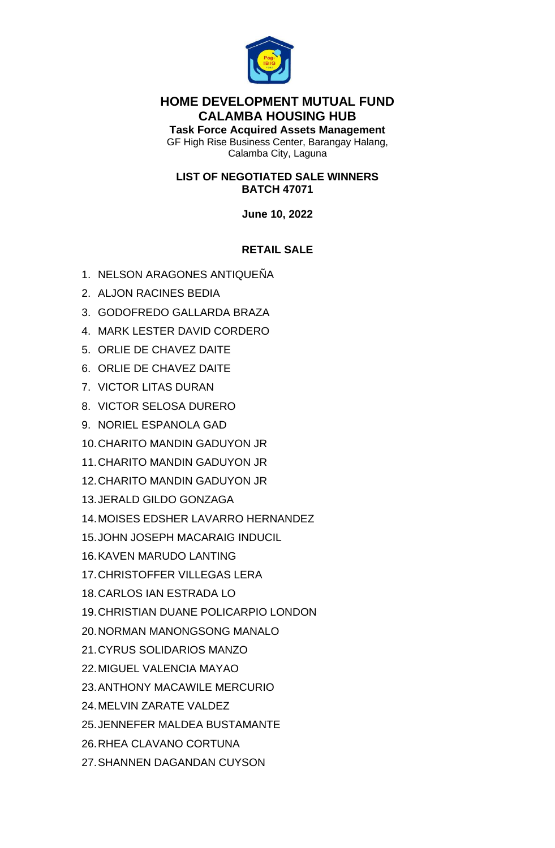

# **HOME DEVELOPMENT MUTUAL FUND CALAMBA HOUSING HUB**

**Task Force Acquired Assets Management** GF High Rise Business Center, Barangay Halang, Calamba City, Laguna

## **LIST OF NEGOTIATED SALE WINNERS BATCH 47071**

# **June 10, 2022**

# **RETAIL SALE**

- 1. NELSON ARAGONES ANTIQUEÑA
- 2. ALJON RACINES BEDIA
- 3. GODOFREDO GALLARDA BRAZA
- 4. MARK LESTER DAVID CORDERO
- 5. ORLIE DE CHAVEZ DAITE
- 6. ORLIE DE CHAVEZ DAITE
- 7. VICTOR LITAS DURAN
- 8. VICTOR SELOSA DURERO
- 9. NORIEL ESPANOLA GAD
- 10.CHARITO MANDIN GADUYON JR
- 11.CHARITO MANDIN GADUYON JR
- 12.CHARITO MANDIN GADUYON JR
- 13.JERALD GILDO GONZAGA
- 14.MOISES EDSHER LAVARRO HERNANDEZ
- 15.JOHN JOSEPH MACARAIG INDUCIL
- 16.KAVEN MARUDO LANTING
- 17.CHRISTOFFER VILLEGAS LERA
- 18.CARLOS IAN ESTRADA LO
- 19.CHRISTIAN DUANE POLICARPIO LONDON
- 20.NORMAN MANONGSONG MANALO
- 21.CYRUS SOLIDARIOS MANZO
- 22.MIGUEL VALENCIA MAYAO
- 23.ANTHONY MACAWILE MERCURIO
- 24.MELVIN ZARATE VALDEZ
- 25.JENNEFER MALDEA BUSTAMANTE
- 26.RHEA CLAVANO CORTUNA
- 27.SHANNEN DAGANDAN CUYSON